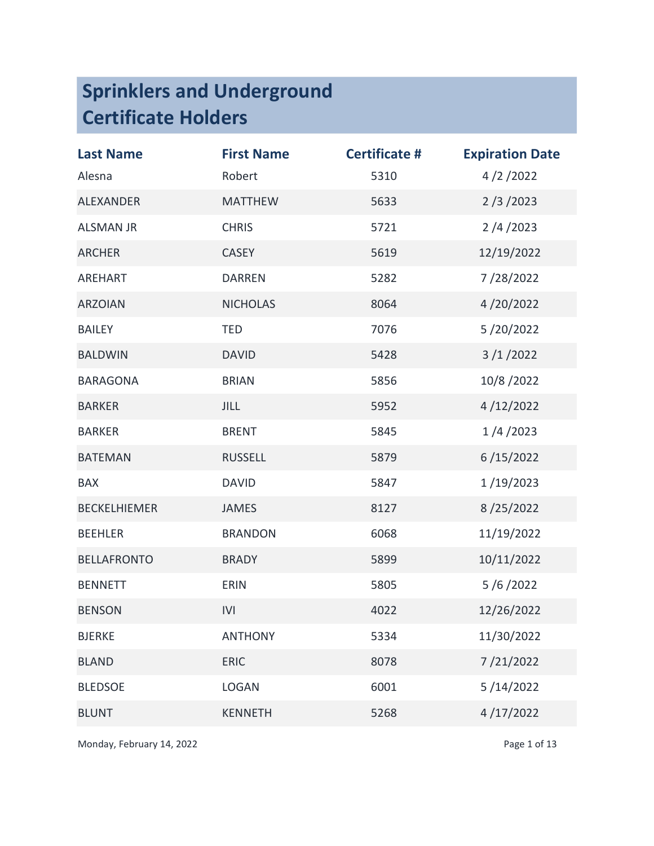| <b>Last Name</b>    | <b>First Name</b> | <b>Certificate #</b> | <b>Expiration Date</b> |
|---------------------|-------------------|----------------------|------------------------|
| Alesna              | Robert            | 5310                 | 4/2/2022               |
| <b>ALEXANDER</b>    | <b>MATTHEW</b>    | 5633                 | 2/3/2023               |
| <b>ALSMAN JR</b>    | <b>CHRIS</b>      | 5721                 | 2/4/2023               |
| <b>ARCHER</b>       | <b>CASEY</b>      | 5619                 | 12/19/2022             |
| <b>AREHART</b>      | <b>DARREN</b>     | 5282                 | 7/28/2022              |
| <b>ARZOIAN</b>      | <b>NICHOLAS</b>   | 8064                 | 4/20/2022              |
| <b>BAILEY</b>       | <b>TED</b>        | 7076                 | 5/20/2022              |
| <b>BALDWIN</b>      | <b>DAVID</b>      | 5428                 | 3/1/2022               |
| <b>BARAGONA</b>     | <b>BRIAN</b>      | 5856                 | 10/8/2022              |
| <b>BARKER</b>       | <b>JILL</b>       | 5952                 | 4/12/2022              |
| <b>BARKER</b>       | <b>BRENT</b>      | 5845                 | 1/4/2023               |
| <b>BATEMAN</b>      | <b>RUSSELL</b>    | 5879                 | 6/15/2022              |
| <b>BAX</b>          | <b>DAVID</b>      | 5847                 | 1/19/2023              |
| <b>BECKELHIEMER</b> | <b>JAMES</b>      | 8127                 | 8/25/2022              |
| <b>BEEHLER</b>      | <b>BRANDON</b>    | 6068                 | 11/19/2022             |
| <b>BELLAFRONTO</b>  | <b>BRADY</b>      | 5899                 | 10/11/2022             |
| <b>BENNETT</b>      | <b>ERIN</b>       | 5805                 | 5/6/2022               |
| <b>BENSON</b>       | IVI               | 4022                 | 12/26/2022             |
| <b>BJERKE</b>       | <b>ANTHONY</b>    | 5334                 | 11/30/2022             |
| <b>BLAND</b>        | <b>ERIC</b>       | 8078                 | 7/21/2022              |
| <b>BLEDSOE</b>      | <b>LOGAN</b>      | 6001                 | 5/14/2022              |
| <b>BLUNT</b>        | <b>KENNETH</b>    | 5268                 | 4/17/2022              |

Monday, February 14, 2022 **Page 1 of 13**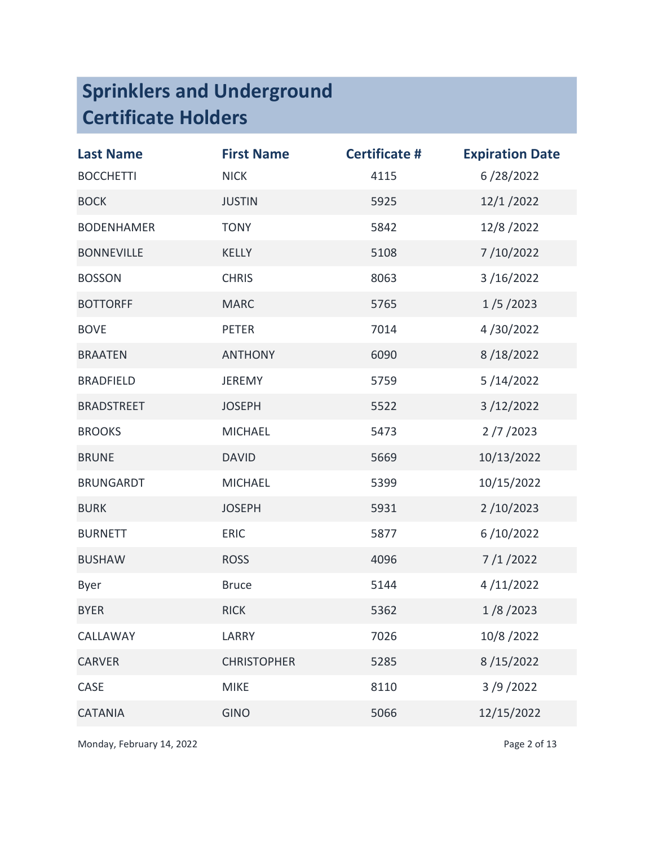| <b>Last Name</b>  | <b>First Name</b>  | <b>Certificate #</b> | <b>Expiration Date</b> |
|-------------------|--------------------|----------------------|------------------------|
| <b>BOCCHETTI</b>  | <b>NICK</b>        | 4115                 | 6/28/2022              |
| <b>BOCK</b>       | <b>JUSTIN</b>      | 5925                 | 12/1/2022              |
| <b>BODENHAMER</b> | <b>TONY</b>        | 5842                 | 12/8/2022              |
| <b>BONNEVILLE</b> | <b>KELLY</b>       | 5108                 | 7/10/2022              |
| <b>BOSSON</b>     | <b>CHRIS</b>       | 8063                 | 3/16/2022              |
| <b>BOTTORFF</b>   | <b>MARC</b>        | 5765                 | 1/5/2023               |
| <b>BOVE</b>       | <b>PETER</b>       | 7014                 | 4/30/2022              |
| <b>BRAATEN</b>    | <b>ANTHONY</b>     | 6090                 | 8/18/2022              |
| <b>BRADFIELD</b>  | <b>JEREMY</b>      | 5759                 | 5/14/2022              |
| <b>BRADSTREET</b> | <b>JOSEPH</b>      | 5522                 | 3/12/2022              |
| <b>BROOKS</b>     | <b>MICHAEL</b>     | 5473                 | 2/7/2023               |
| <b>BRUNE</b>      | <b>DAVID</b>       | 5669                 | 10/13/2022             |
| <b>BRUNGARDT</b>  | <b>MICHAEL</b>     | 5399                 | 10/15/2022             |
| <b>BURK</b>       | <b>JOSEPH</b>      | 5931                 | 2/10/2023              |
| <b>BURNETT</b>    | <b>ERIC</b>        | 5877                 | 6/10/2022              |
| <b>BUSHAW</b>     | <b>ROSS</b>        | 4096                 | 7/1/2022               |
| Byer              | <b>Bruce</b>       | 5144                 | 4/11/2022              |
| <b>BYER</b>       | <b>RICK</b>        | 5362                 | 1/8/2023               |
| CALLAWAY          | LARRY              | 7026                 | 10/8/2022              |
| <b>CARVER</b>     | <b>CHRISTOPHER</b> | 5285                 | 8/15/2022              |
| CASE              | <b>MIKE</b>        | 8110                 | 3/9/2022               |
| <b>CATANIA</b>    | <b>GINO</b>        | 5066                 | 12/15/2022             |

Monday, February 14, 2022 **Page 2 of 13**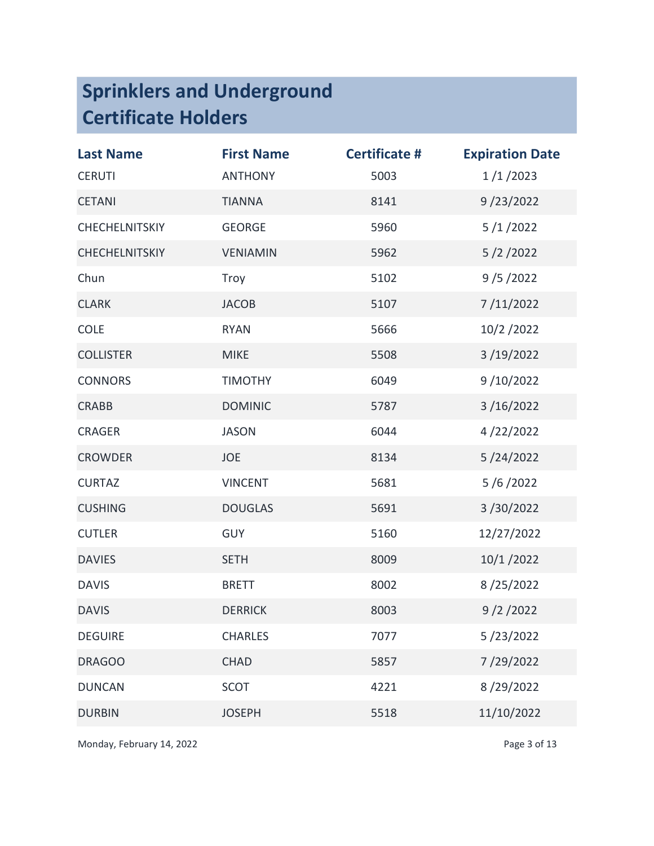| <b>Last Name</b>      | <b>First Name</b> | <b>Certificate #</b> | <b>Expiration Date</b> |
|-----------------------|-------------------|----------------------|------------------------|
| <b>CERUTI</b>         | <b>ANTHONY</b>    | 5003                 | 1/1/2023               |
| <b>CETANI</b>         | <b>TIANNA</b>     | 8141                 | 9/23/2022              |
| <b>CHECHELNITSKIY</b> | <b>GEORGE</b>     | 5960                 | 5/1/2022               |
| <b>CHECHELNITSKIY</b> | <b>VENIAMIN</b>   | 5962                 | 5/2/2022               |
| Chun                  | Troy              | 5102                 | 9/5/2022               |
| <b>CLARK</b>          | <b>JACOB</b>      | 5107                 | 7/11/2022              |
| <b>COLE</b>           | <b>RYAN</b>       | 5666                 | 10/2/2022              |
| <b>COLLISTER</b>      | <b>MIKE</b>       | 5508                 | 3/19/2022              |
| <b>CONNORS</b>        | <b>TIMOTHY</b>    | 6049                 | 9/10/2022              |
| <b>CRABB</b>          | <b>DOMINIC</b>    | 5787                 | 3/16/2022              |
| <b>CRAGER</b>         | <b>JASON</b>      | 6044                 | 4/22/2022              |
| <b>CROWDER</b>        | JOE               | 8134                 | 5/24/2022              |
| <b>CURTAZ</b>         | <b>VINCENT</b>    | 5681                 | 5/6/2022               |
| <b>CUSHING</b>        | <b>DOUGLAS</b>    | 5691                 | 3/30/2022              |
| <b>CUTLER</b>         | <b>GUY</b>        | 5160                 | 12/27/2022             |
| <b>DAVIES</b>         | <b>SETH</b>       | 8009                 | 10/1/2022              |
| <b>DAVIS</b>          | <b>BRETT</b>      | 8002                 | 8/25/2022              |
| <b>DAVIS</b>          | <b>DERRICK</b>    | 8003                 | 9/2/2022               |
| <b>DEGUIRE</b>        | <b>CHARLES</b>    | 7077                 | 5/23/2022              |
| <b>DRAGOO</b>         | <b>CHAD</b>       | 5857                 | 7/29/2022              |
| <b>DUNCAN</b>         | <b>SCOT</b>       | 4221                 | 8/29/2022              |
| <b>DURBIN</b>         | <b>JOSEPH</b>     | 5518                 | 11/10/2022             |

Monday, February 14, 2022 **Page 3 of 13**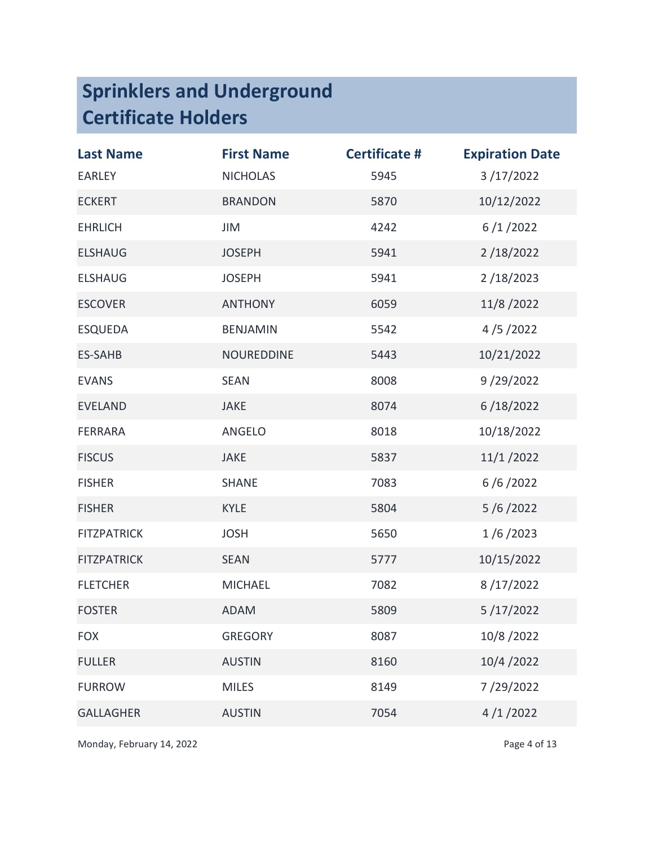| <b>Last Name</b>   | <b>First Name</b> | <b>Certificate #</b> | <b>Expiration Date</b> |
|--------------------|-------------------|----------------------|------------------------|
| <b>EARLEY</b>      | <b>NICHOLAS</b>   | 5945                 | 3/17/2022              |
| <b>ECKERT</b>      | <b>BRANDON</b>    | 5870                 | 10/12/2022             |
| <b>EHRLICH</b>     | JIM               | 4242                 | 6/1/2022               |
| <b>ELSHAUG</b>     | <b>JOSEPH</b>     | 5941                 | 2/18/2022              |
| <b>ELSHAUG</b>     | <b>JOSEPH</b>     | 5941                 | 2/18/2023              |
| <b>ESCOVER</b>     | <b>ANTHONY</b>    | 6059                 | 11/8/2022              |
| <b>ESQUEDA</b>     | <b>BENJAMIN</b>   | 5542                 | 4/5/2022               |
| <b>ES-SAHB</b>     | <b>NOUREDDINE</b> | 5443                 | 10/21/2022             |
| <b>EVANS</b>       | <b>SEAN</b>       | 8008                 | 9/29/2022              |
| <b>EVELAND</b>     | <b>JAKE</b>       | 8074                 | 6/18/2022              |
| <b>FERRARA</b>     | ANGELO            | 8018                 | 10/18/2022             |
| <b>FISCUS</b>      | <b>JAKE</b>       | 5837                 | 11/1/2022              |
| <b>FISHER</b>      | <b>SHANE</b>      | 7083                 | 6/6/2022               |
| <b>FISHER</b>      | <b>KYLE</b>       | 5804                 | 5/6/2022               |
| <b>FITZPATRICK</b> | <b>JOSH</b>       | 5650                 | 1/6/2023               |
| <b>FITZPATRICK</b> | <b>SEAN</b>       | 5777                 | 10/15/2022             |
| <b>FLETCHER</b>    | <b>MICHAEL</b>    | 7082                 | 8/17/2022              |
| <b>FOSTER</b>      | <b>ADAM</b>       | 5809                 | 5/17/2022              |
| <b>FOX</b>         | <b>GREGORY</b>    | 8087                 | 10/8/2022              |
| <b>FULLER</b>      | <b>AUSTIN</b>     | 8160                 | 10/4/2022              |
| <b>FURROW</b>      | <b>MILES</b>      | 8149                 | 7/29/2022              |
| <b>GALLAGHER</b>   | <b>AUSTIN</b>     | 7054                 | 4/1/2022               |

Monday, February 14, 2022 **Page 4 of 13**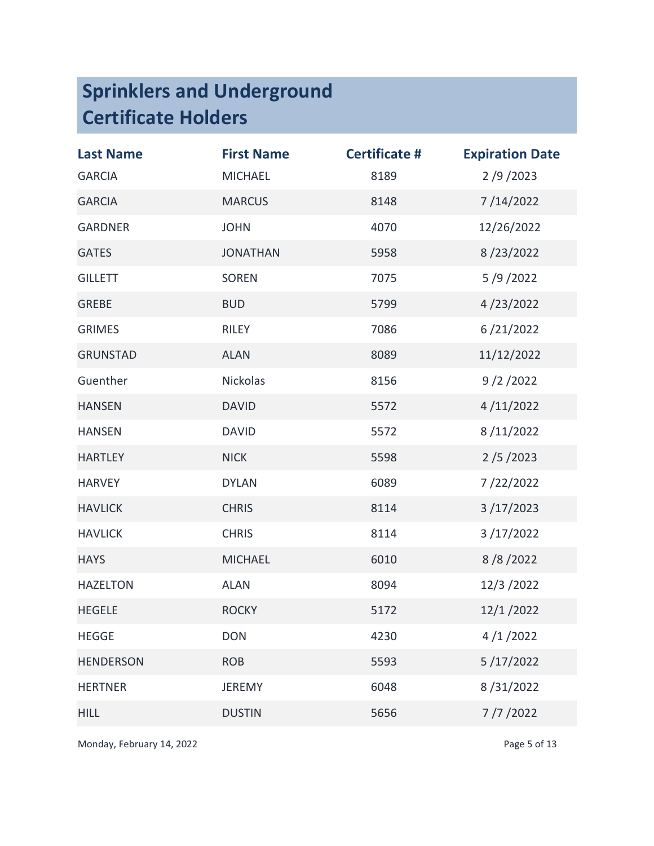| <b>Last Name</b> | <b>First Name</b> | <b>Certificate #</b> | <b>Expiration Date</b> |
|------------------|-------------------|----------------------|------------------------|
| <b>GARCIA</b>    | <b>MICHAEL</b>    | 8189                 | 2/9/2023               |
| <b>GARCIA</b>    | <b>MARCUS</b>     | 8148                 | 7/14/2022              |
| <b>GARDNER</b>   | <b>JOHN</b>       | 4070                 | 12/26/2022             |
| <b>GATES</b>     | <b>JONATHAN</b>   | 5958                 | 8/23/2022              |
| <b>GILLETT</b>   | <b>SOREN</b>      | 7075                 | 5/9/2022               |
| <b>GREBE</b>     | <b>BUD</b>        | 5799                 | 4/23/2022              |
| <b>GRIMES</b>    | <b>RILEY</b>      | 7086                 | 6/21/2022              |
| <b>GRUNSTAD</b>  | <b>ALAN</b>       | 8089                 | 11/12/2022             |
| Guenther         | Nickolas          | 8156                 | 9/2/2022               |
| <b>HANSEN</b>    | <b>DAVID</b>      | 5572                 | 4/11/2022              |
| <b>HANSEN</b>    | <b>DAVID</b>      | 5572                 | 8/11/2022              |
| <b>HARTLEY</b>   | <b>NICK</b>       | 5598                 | 2/5/2023               |
| <b>HARVEY</b>    | <b>DYLAN</b>      | 6089                 | 7/22/2022              |
| <b>HAVLICK</b>   | <b>CHRIS</b>      | 8114                 | 3/17/2023              |
| <b>HAVLICK</b>   | <b>CHRIS</b>      | 8114                 | 3/17/2022              |
| <b>HAYS</b>      | <b>MICHAEL</b>    | 6010                 | 8/8/2022               |
| <b>HAZELTON</b>  | <b>ALAN</b>       | 8094                 | 12/3/2022              |
| <b>HEGELE</b>    | <b>ROCKY</b>      | 5172                 | 12/1/2022              |
| <b>HEGGE</b>     | <b>DON</b>        | 4230                 | 4/1/2022               |
| <b>HENDERSON</b> | <b>ROB</b>        | 5593                 | 5/17/2022              |
| <b>HERTNER</b>   | <b>JEREMY</b>     | 6048                 | 8/31/2022              |
| <b>HILL</b>      | <b>DUSTIN</b>     | 5656                 | 7/7/2022               |

Monday, February 14, 2022 **Page 5 of 13**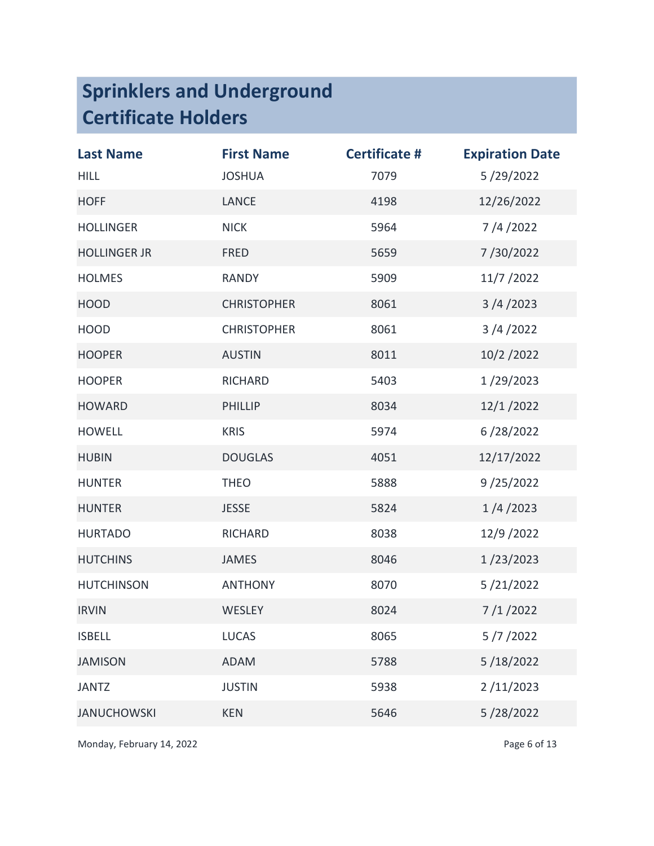| <b>Last Name</b>    | <b>First Name</b>  | <b>Certificate #</b> | <b>Expiration Date</b> |
|---------------------|--------------------|----------------------|------------------------|
| <b>HILL</b>         | <b>JOSHUA</b>      | 7079                 | 5/29/2022              |
| <b>HOFF</b>         | <b>LANCE</b>       | 4198                 | 12/26/2022             |
| <b>HOLLINGER</b>    | <b>NICK</b>        | 5964                 | 7/4/2022               |
| <b>HOLLINGER JR</b> | <b>FRED</b>        | 5659                 | 7/30/2022              |
| <b>HOLMES</b>       | <b>RANDY</b>       | 5909                 | 11/7 / 2022            |
| <b>HOOD</b>         | <b>CHRISTOPHER</b> | 8061                 | 3/4/2023               |
| <b>HOOD</b>         | <b>CHRISTOPHER</b> | 8061                 | 3/4/2022               |
| <b>HOOPER</b>       | <b>AUSTIN</b>      | 8011                 | 10/2/2022              |
| <b>HOOPER</b>       | <b>RICHARD</b>     | 5403                 | 1/29/2023              |
| <b>HOWARD</b>       | <b>PHILLIP</b>     | 8034                 | 12/1/2022              |
| <b>HOWELL</b>       | <b>KRIS</b>        | 5974                 | 6/28/2022              |
| <b>HUBIN</b>        | <b>DOUGLAS</b>     | 4051                 | 12/17/2022             |
| <b>HUNTER</b>       | <b>THEO</b>        | 5888                 | 9/25/2022              |
| <b>HUNTER</b>       | <b>JESSE</b>       | 5824                 | 1/4/2023               |
| <b>HURTADO</b>      | RICHARD            | 8038                 | 12/9 / 2022            |
| <b>HUTCHINS</b>     | <b>JAMES</b>       | 8046                 | 1/23/2023              |
| <b>HUTCHINSON</b>   | <b>ANTHONY</b>     | 8070                 | 5/21/2022              |
| <b>IRVIN</b>        | <b>WESLEY</b>      | 8024                 | 7/1/2022               |
| <b>ISBELL</b>       | <b>LUCAS</b>       | 8065                 | 5/7/2022               |
| <b>JAMISON</b>      | <b>ADAM</b>        | 5788                 | 5/18/2022              |
| <b>JANTZ</b>        | <b>JUSTIN</b>      | 5938                 | 2/11/2023              |
| <b>JANUCHOWSKI</b>  | <b>KEN</b>         | 5646                 | 5/28/2022              |

Monday, February 14, 2022 **Page 6 of 13**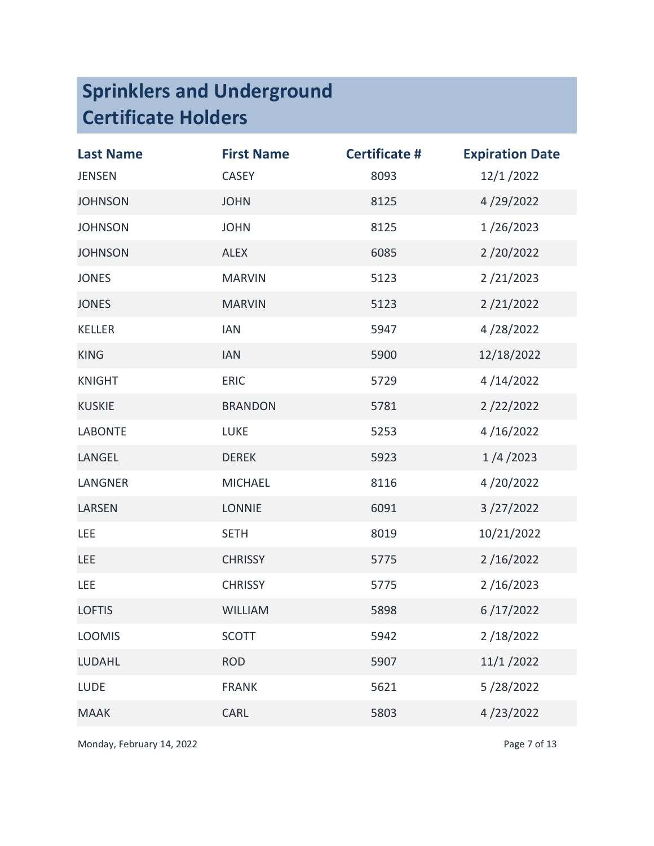| <b>Last Name</b> | <b>First Name</b> | <b>Certificate #</b> | <b>Expiration Date</b> |
|------------------|-------------------|----------------------|------------------------|
| <b>JENSEN</b>    | <b>CASEY</b>      | 8093                 | 12/1/2022              |
| <b>JOHNSON</b>   | <b>JOHN</b>       | 8125                 | 4/29/2022              |
| <b>JOHNSON</b>   | <b>JOHN</b>       | 8125                 | 1/26/2023              |
| <b>JOHNSON</b>   | <b>ALEX</b>       | 6085                 | 2/20/2022              |
| <b>JONES</b>     | <b>MARVIN</b>     | 5123                 | 2/21/2023              |
| <b>JONES</b>     | <b>MARVIN</b>     | 5123                 | 2/21/2022              |
| <b>KELLER</b>    | <b>IAN</b>        | 5947                 | 4/28/2022              |
| <b>KING</b>      | <b>IAN</b>        | 5900                 | 12/18/2022             |
| <b>KNIGHT</b>    | <b>ERIC</b>       | 5729                 | 4/14/2022              |
| <b>KUSKIE</b>    | <b>BRANDON</b>    | 5781                 | 2/22/2022              |
| <b>LABONTE</b>   | <b>LUKE</b>       | 5253                 | 4/16/2022              |
| LANGEL           | <b>DEREK</b>      | 5923                 | 1/4/2023               |
| LANGNER          | <b>MICHAEL</b>    | 8116                 | 4/20/2022              |
| <b>LARSEN</b>    | <b>LONNIE</b>     | 6091                 | 3/27/2022              |
| LEE              | <b>SETH</b>       | 8019                 | 10/21/2022             |
| <b>LEE</b>       | <b>CHRISSY</b>    | 5775                 | 2/16/2022              |
| LEE              | <b>CHRISSY</b>    | 5775                 | 2/16/2023              |
| <b>LOFTIS</b>    | <b>WILLIAM</b>    | 5898                 | 6/17/2022              |
| <b>LOOMIS</b>    | <b>SCOTT</b>      | 5942                 | 2/18/2022              |
| <b>LUDAHL</b>    | <b>ROD</b>        | 5907                 | 11/1/2022              |
| <b>LUDE</b>      | <b>FRANK</b>      | 5621                 | 5/28/2022              |
| <b>MAAK</b>      | CARL              | 5803                 | 4/23/2022              |

Monday, February 14, 2022 **Page 7 of 13**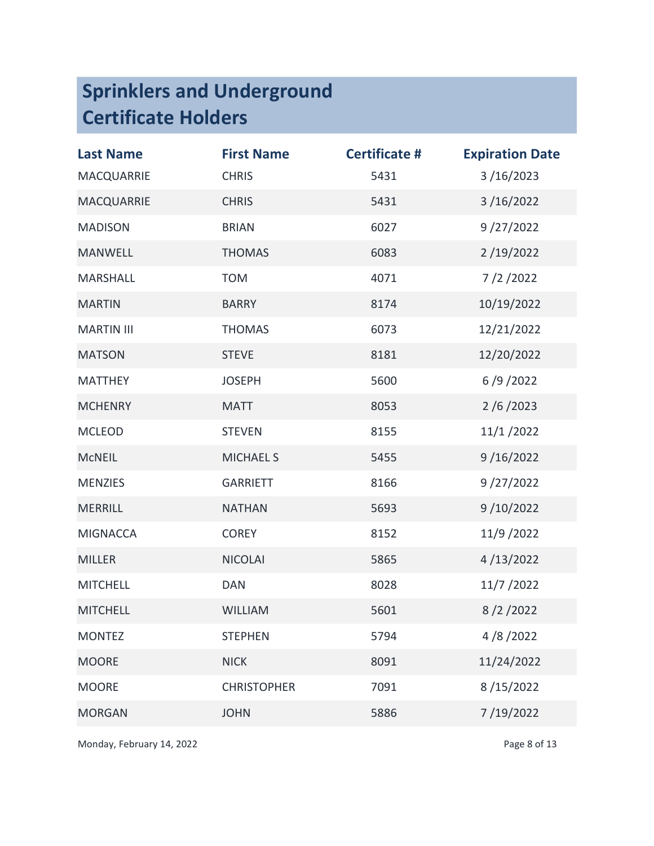| <b>Last Name</b>  | <b>First Name</b>  | <b>Certificate #</b> | <b>Expiration Date</b> |
|-------------------|--------------------|----------------------|------------------------|
| <b>MACQUARRIE</b> | <b>CHRIS</b>       | 5431                 | 3/16/2023              |
| <b>MACQUARRIE</b> | <b>CHRIS</b>       | 5431                 | 3/16/2022              |
| <b>MADISON</b>    | <b>BRIAN</b>       | 6027                 | 9/27/2022              |
| <b>MANWELL</b>    | <b>THOMAS</b>      | 6083                 | 2/19/2022              |
| <b>MARSHALL</b>   | <b>TOM</b>         | 4071                 | 7/2/2022               |
| <b>MARTIN</b>     | <b>BARRY</b>       | 8174                 | 10/19/2022             |
| <b>MARTIN III</b> | <b>THOMAS</b>      | 6073                 | 12/21/2022             |
| <b>MATSON</b>     | <b>STEVE</b>       | 8181                 | 12/20/2022             |
| <b>MATTHEY</b>    | <b>JOSEPH</b>      | 5600                 | 6/9/2022               |
| <b>MCHENRY</b>    | <b>MATT</b>        | 8053                 | 2/6/2023               |
| <b>MCLEOD</b>     | <b>STEVEN</b>      | 8155                 | 11/1/2022              |
| <b>MCNEIL</b>     | <b>MICHAEL S</b>   | 5455                 | 9/16/2022              |
| <b>MENZIES</b>    | <b>GARRIETT</b>    | 8166                 | 9/27/2022              |
| <b>MERRILL</b>    | <b>NATHAN</b>      | 5693                 | 9/10/2022              |
| <b>MIGNACCA</b>   | <b>COREY</b>       | 8152                 | 11/9 / 2022            |
| <b>MILLER</b>     | <b>NICOLAI</b>     | 5865                 | 4/13/2022              |
| <b>MITCHELL</b>   | <b>DAN</b>         | 8028                 | 11/7 / 2022            |
| <b>MITCHELL</b>   | <b>WILLIAM</b>     | 5601                 | 8/2/2022               |
| <b>MONTEZ</b>     | <b>STEPHEN</b>     | 5794                 | 4/8/2022               |
| <b>MOORE</b>      | <b>NICK</b>        | 8091                 | 11/24/2022             |
| <b>MOORE</b>      | <b>CHRISTOPHER</b> | 7091                 | 8/15/2022              |
| <b>MORGAN</b>     | <b>JOHN</b>        | 5886                 | 7/19/2022              |

Monday, February 14, 2022 **Page 8 of 13**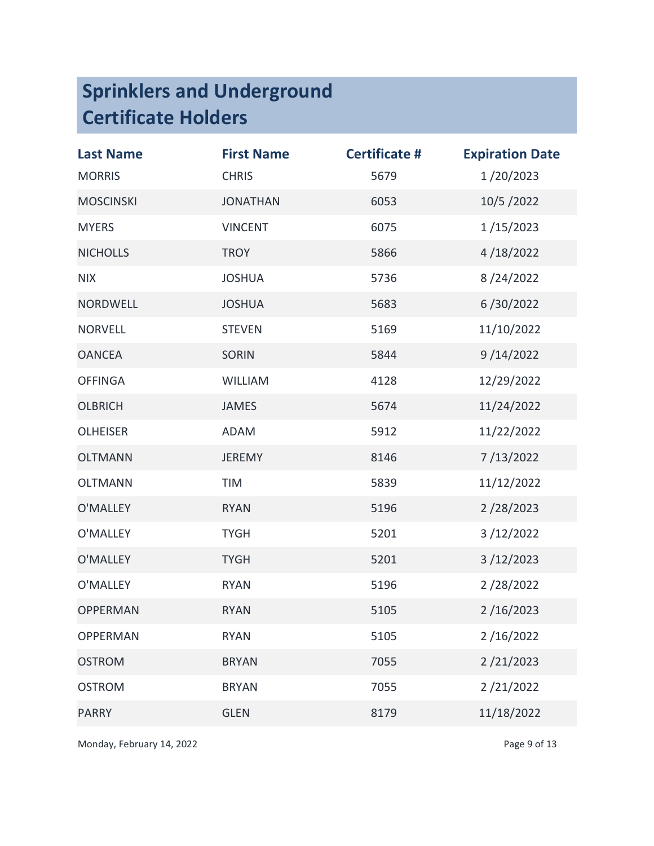| <b>Last Name</b> | <b>First Name</b> | <b>Certificate #</b> | <b>Expiration Date</b> |
|------------------|-------------------|----------------------|------------------------|
| <b>MORRIS</b>    | <b>CHRIS</b>      | 5679                 | 1/20/2023              |
| <b>MOSCINSKI</b> | <b>JONATHAN</b>   | 6053                 | 10/5/2022              |
| <b>MYERS</b>     | <b>VINCENT</b>    | 6075                 | 1/15/2023              |
| <b>NICHOLLS</b>  | <b>TROY</b>       | 5866                 | 4/18/2022              |
| <b>NIX</b>       | <b>JOSHUA</b>     | 5736                 | 8/24/2022              |
| <b>NORDWELL</b>  | <b>JOSHUA</b>     | 5683                 | 6/30/2022              |
| <b>NORVELL</b>   | <b>STEVEN</b>     | 5169                 | 11/10/2022             |
| <b>OANCEA</b>    | <b>SORIN</b>      | 5844                 | 9/14/2022              |
| <b>OFFINGA</b>   | <b>WILLIAM</b>    | 4128                 | 12/29/2022             |
| <b>OLBRICH</b>   | <b>JAMES</b>      | 5674                 | 11/24/2022             |
| <b>OLHEISER</b>  | <b>ADAM</b>       | 5912                 | 11/22/2022             |
| <b>OLTMANN</b>   | <b>JEREMY</b>     | 8146                 | 7/13/2022              |
| <b>OLTMANN</b>   | TIM               | 5839                 | 11/12/2022             |
| O'MALLEY         | <b>RYAN</b>       | 5196                 | 2/28/2023              |
| O'MALLEY         | <b>TYGH</b>       | 5201                 | 3/12/2022              |
| O'MALLEY         | <b>TYGH</b>       | 5201                 | 3/12/2023              |
| O'MALLEY         | <b>RYAN</b>       | 5196                 | 2/28/2022              |
| <b>OPPERMAN</b>  | <b>RYAN</b>       | 5105                 | 2/16/2023              |
| <b>OPPERMAN</b>  | <b>RYAN</b>       | 5105                 | 2/16/2022              |
| <b>OSTROM</b>    | <b>BRYAN</b>      | 7055                 | 2/21/2023              |
| <b>OSTROM</b>    | <b>BRYAN</b>      | 7055                 | 2/21/2022              |
| <b>PARRY</b>     | <b>GLEN</b>       | 8179                 | 11/18/2022             |

Monday, February 14, 2022 **Page 9 of 13**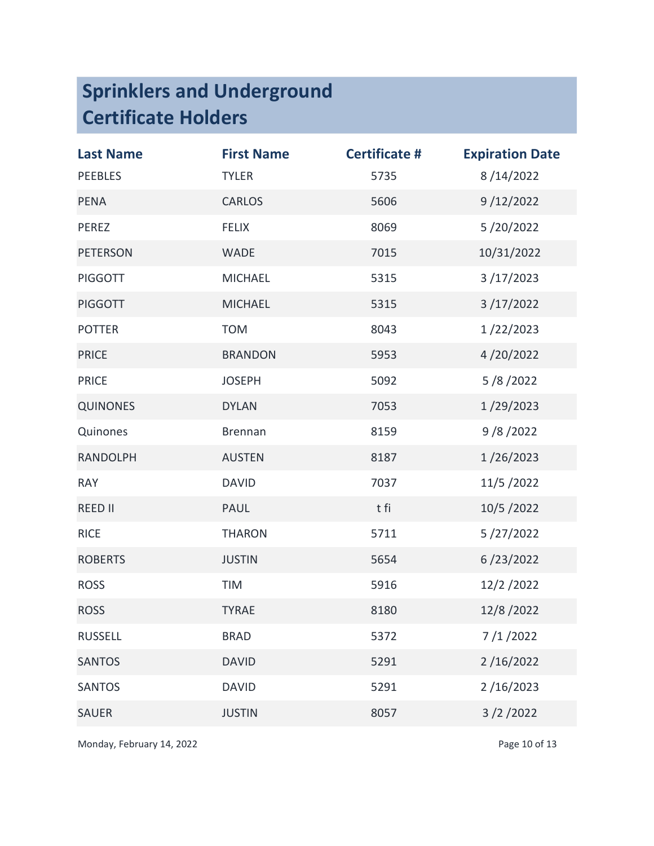| <b>Last Name</b> | <b>First Name</b> | <b>Certificate #</b> | <b>Expiration Date</b> |
|------------------|-------------------|----------------------|------------------------|
| <b>PEEBLES</b>   | <b>TYLER</b>      | 5735                 | 8/14/2022              |
| <b>PENA</b>      | <b>CARLOS</b>     | 5606                 | 9/12/2022              |
| PEREZ            | <b>FELIX</b>      | 8069                 | 5/20/2022              |
| <b>PETERSON</b>  | <b>WADE</b>       | 7015                 | 10/31/2022             |
| <b>PIGGOTT</b>   | <b>MICHAEL</b>    | 5315                 | 3/17/2023              |
| <b>PIGGOTT</b>   | <b>MICHAEL</b>    | 5315                 | 3/17/2022              |
| <b>POTTER</b>    | <b>TOM</b>        | 8043                 | 1/22/2023              |
| <b>PRICE</b>     | <b>BRANDON</b>    | 5953                 | 4/20/2022              |
| <b>PRICE</b>     | <b>JOSEPH</b>     | 5092                 | 5/8/2022               |
| <b>QUINONES</b>  | <b>DYLAN</b>      | 7053                 | 1/29/2023              |
| Quinones         | <b>Brennan</b>    | 8159                 | 9/8/2022               |
| <b>RANDOLPH</b>  | <b>AUSTEN</b>     | 8187                 | 1/26/2023              |
| <b>RAY</b>       | <b>DAVID</b>      | 7037                 | 11/5/2022              |
| <b>REED II</b>   | PAUL              | t fi                 | 10/5/2022              |
| <b>RICE</b>      | <b>THARON</b>     | 5711                 | 5/27/2022              |
| <b>ROBERTS</b>   | <b>JUSTIN</b>     | 5654                 | 6/23/2022              |
| <b>ROSS</b>      | TIM               | 5916                 | 12/2/2022              |
| <b>ROSS</b>      | <b>TYRAE</b>      | 8180                 | 12/8/2022              |
| <b>RUSSELL</b>   | <b>BRAD</b>       | 5372                 | 7/1/2022               |
| <b>SANTOS</b>    | <b>DAVID</b>      | 5291                 | 2/16/2022              |
| <b>SANTOS</b>    | <b>DAVID</b>      | 5291                 | 2/16/2023              |
| <b>SAUER</b>     | <b>JUSTIN</b>     | 8057                 | 3/2/2022               |

Monday, February 14, 2022 and the extent of the Page 10 of 13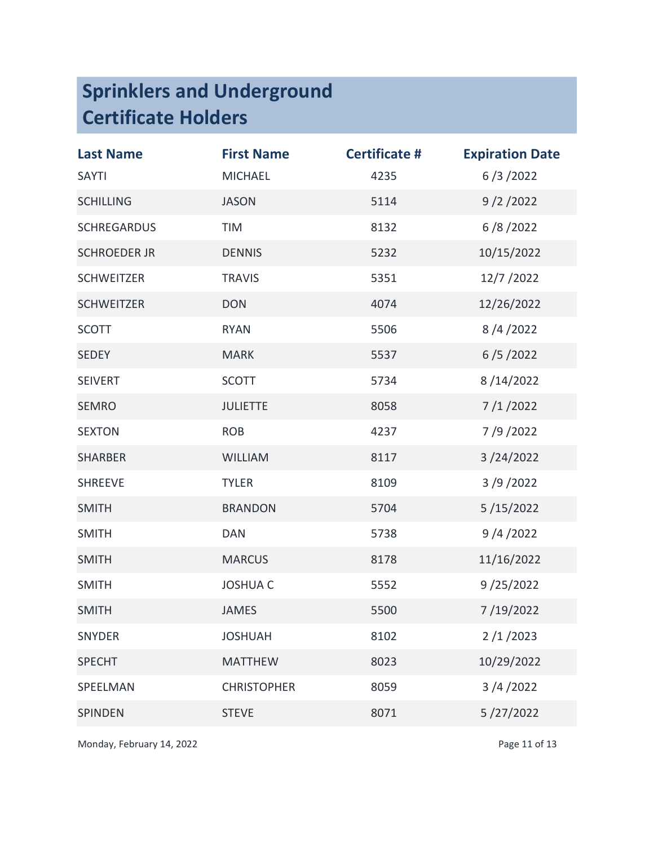| <b>Last Name</b>    | <b>First Name</b>  | <b>Certificate #</b> | <b>Expiration Date</b> |
|---------------------|--------------------|----------------------|------------------------|
| <b>SAYTI</b>        | <b>MICHAEL</b>     | 4235                 | 6/3/2022               |
| <b>SCHILLING</b>    | <b>JASON</b>       | 5114                 | 9/2/2022               |
| <b>SCHREGARDUS</b>  | <b>TIM</b>         | 8132                 | 6/8/2022               |
| <b>SCHROEDER JR</b> | <b>DENNIS</b>      | 5232                 | 10/15/2022             |
| <b>SCHWEITZER</b>   | <b>TRAVIS</b>      | 5351                 | 12/7 / 2022            |
| <b>SCHWEITZER</b>   | <b>DON</b>         | 4074                 | 12/26/2022             |
| <b>SCOTT</b>        | <b>RYAN</b>        | 5506                 | 8/4/2022               |
| <b>SEDEY</b>        | <b>MARK</b>        | 5537                 | 6/5/2022               |
| <b>SEIVERT</b>      | <b>SCOTT</b>       | 5734                 | 8/14/2022              |
| <b>SEMRO</b>        | <b>JULIETTE</b>    | 8058                 | 7/1/2022               |
| <b>SEXTON</b>       | <b>ROB</b>         | 4237                 | 7/9/2022               |
| <b>SHARBER</b>      | <b>WILLIAM</b>     | 8117                 | 3/24/2022              |
| <b>SHREEVE</b>      | <b>TYLER</b>       | 8109                 | 3/9/2022               |
| <b>SMITH</b>        | <b>BRANDON</b>     | 5704                 | 5/15/2022              |
| <b>SMITH</b>        | <b>DAN</b>         | 5738                 | 9/4/2022               |
| <b>SMITH</b>        | <b>MARCUS</b>      | 8178                 | 11/16/2022             |
| <b>SMITH</b>        | <b>JOSHUA C</b>    | 5552                 | 9/25/2022              |
| <b>SMITH</b>        | <b>JAMES</b>       | 5500                 | 7/19/2022              |
| <b>SNYDER</b>       | <b>JOSHUAH</b>     | 8102                 | 2/1/2023               |
| <b>SPECHT</b>       | <b>MATTHEW</b>     | 8023                 | 10/29/2022             |
| SPEELMAN            | <b>CHRISTOPHER</b> | 8059                 | 3/4/2022               |
| <b>SPINDEN</b>      | <b>STEVE</b>       | 8071                 | 5/27/2022              |

Monday, February 14, 2022 and the extent of the Page 11 of 13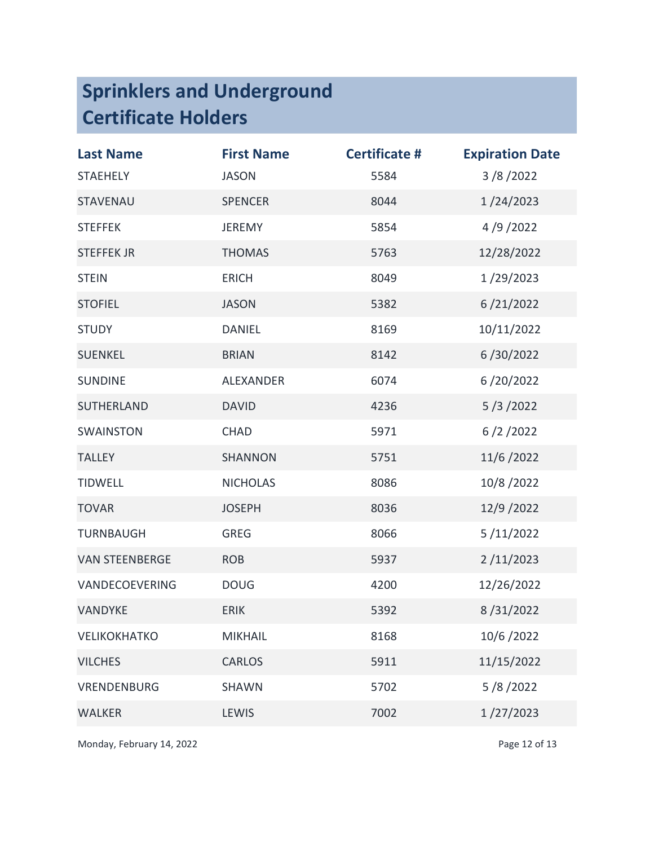| <b>Last Name</b>      | <b>First Name</b> | <b>Certificate #</b> | <b>Expiration Date</b> |
|-----------------------|-------------------|----------------------|------------------------|
| <b>STAEHELY</b>       | <b>JASON</b>      | 5584                 | 3/8/2022               |
| STAVENAU              | <b>SPENCER</b>    | 8044                 | 1/24/2023              |
| <b>STEFFEK</b>        | <b>JEREMY</b>     | 5854                 | 4/9/2022               |
| <b>STEFFEK JR</b>     | <b>THOMAS</b>     | 5763                 | 12/28/2022             |
| <b>STEIN</b>          | <b>ERICH</b>      | 8049                 | 1/29/2023              |
| <b>STOFIEL</b>        | <b>JASON</b>      | 5382                 | 6/21/2022              |
| <b>STUDY</b>          | <b>DANIEL</b>     | 8169                 | 10/11/2022             |
| <b>SUENKEL</b>        | <b>BRIAN</b>      | 8142                 | 6/30/2022              |
| <b>SUNDINE</b>        | <b>ALEXANDER</b>  | 6074                 | 6/20/2022              |
| SUTHERLAND            | <b>DAVID</b>      | 4236                 | 5/3/2022               |
| <b>SWAINSTON</b>      | <b>CHAD</b>       | 5971                 | 6/2/2022               |
| <b>TALLEY</b>         | <b>SHANNON</b>    | 5751                 | 11/6/2022              |
| <b>TIDWELL</b>        | <b>NICHOLAS</b>   | 8086                 | 10/8/2022              |
| <b>TOVAR</b>          | <b>JOSEPH</b>     | 8036                 | 12/9 / 2022            |
| <b>TURNBAUGH</b>      | <b>GREG</b>       | 8066                 | 5/11/2022              |
| <b>VAN STEENBERGE</b> | <b>ROB</b>        | 5937                 | 2/11/2023              |
| VANDECOEVERING        | <b>DOUG</b>       | 4200                 | 12/26/2022             |
| VANDYKE               | <b>ERIK</b>       | 5392                 | 8/31/2022              |
| VELIKOKHATKO          | <b>MIKHAIL</b>    | 8168                 | 10/6/2022              |
| <b>VILCHES</b>        | <b>CARLOS</b>     | 5911                 | 11/15/2022             |
| <b>VRENDENBURG</b>    | <b>SHAWN</b>      | 5702                 | 5/8/2022               |
| <b>WALKER</b>         | LEWIS             | 7002                 | 1/27/2023              |

Monday, February 14, 2022 and 2008 and 2009 and 2009 and 2009 and 2009 and 2009 and 2009 and 2009 and 2009 and 2009 and 2009 and 2009 and 2009 and 2009 and 2009 and 2009 and 2009 and 2009 and 2009 and 2009 and 2009 and 200